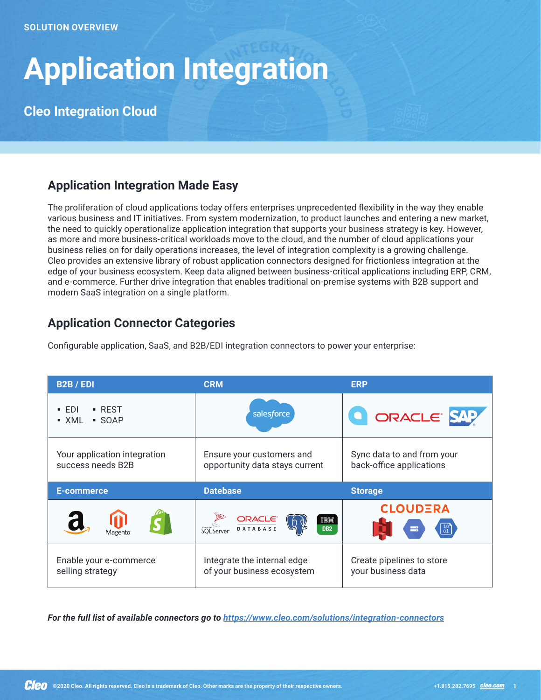# **Application Integration**

**Cleo Integration Cloud**

## **Application Integration Made Easy**

The proliferation of cloud applications today offers enterprises unprecedented flexibility in the way they enable various business and IT initiatives. From system modernization, to product launches and entering a new market, the need to quickly operationalize application integration that supports your business strategy is key. However, as more and more business-critical workloads move to the cloud, and the number of cloud applications your business relies on for daily operations increases, the level of integration complexity is a growing challenge. Cleo provides an extensive library of robust application connectors designed for frictionless integration at the edge of your business ecosystem. Keep data aligned between business-critical applications including ERP, CRM, and e-commerce. Further drive integration that enables traditional on-premise systems with B2B support and modern SaaS integration on a single platform.

## **Application Connector Categories**

Configurable application, SaaS, and B2B/EDI integration connectors to power your enterprise:

| <b>B2B/EDI</b>                                    | <b>CRM</b>                                                        | <b>ERP</b>                                             |
|---------------------------------------------------|-------------------------------------------------------------------|--------------------------------------------------------|
| $-EDI$<br>$\blacksquare$ REST<br>- XML<br>• SOAP  | salesforce                                                        | ORACLE SAP                                             |
| Your application integration<br>success needs B2B | Ensure your customers and<br>opportunity data stays current       | Sync data to and from your<br>back-office applications |
|                                                   |                                                                   |                                                        |
| <b>E-commerce</b>                                 | <b>Datebase</b>                                                   | <b>Storage</b>                                         |
| $\overline{\mathbf{C}}$<br>Magento                | <b>ORACLE</b><br>DATABASE<br>IBM<br>SQL Server<br>DB <sub>2</sub> | <b>CLOUDERA</b><br>≕                                   |

*For the full list of available connectors go to <https://www.cleo.com/solutions/integration-connectors>*